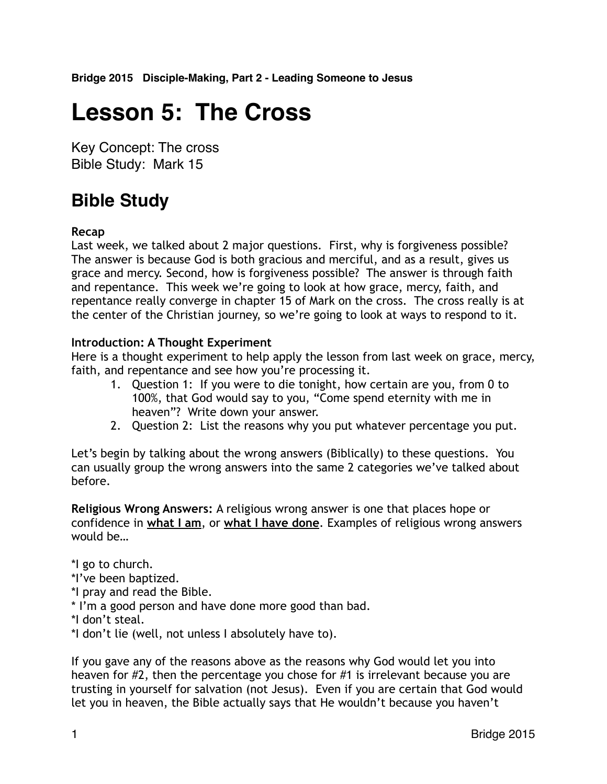**Bridge 2015 Disciple-Making, Part 2 - Leading Someone to Jesus**

# **Lesson 5: The Cross**

Key Concept: The cross Bible Study: Mark 15

# **Bible Study**

#### **Recap**

Last week, we talked about 2 major questions. First, why is forgiveness possible? The answer is because God is both gracious and merciful, and as a result, gives us grace and mercy. Second, how is forgiveness possible? The answer is through faith and repentance. This week we're going to look at how grace, mercy, faith, and repentance really converge in chapter 15 of Mark on the cross. The cross really is at the center of the Christian journey, so we're going to look at ways to respond to it.

#### **Introduction: A Thought Experiment**

Here is a thought experiment to help apply the lesson from last week on grace, mercy, faith, and repentance and see how you're processing it.

- 1. Question 1: If you were to die tonight, how certain are you, from 0 to 100%, that God would say to you, "Come spend eternity with me in heaven"? Write down your answer.
- 2. Question 2: List the reasons why you put whatever percentage you put.

Let's begin by talking about the wrong answers (Biblically) to these questions. You can usually group the wrong answers into the same 2 categories we've talked about before.

**Religious Wrong Answers:** A religious wrong answer is one that places hope or confidence in **what I am**, or **what I have done**. Examples of religious wrong answers would be…

\*I go to church.

- \*I've been baptized.
- \*I pray and read the Bible.
- \* I'm a good person and have done more good than bad.
- \*I don't steal.

\*I don't lie (well, not unless I absolutely have to).

If you gave any of the reasons above as the reasons why God would let you into heaven for #2, then the percentage you chose for #1 is irrelevant because you are trusting in yourself for salvation (not Jesus). Even if you are certain that God would let you in heaven, the Bible actually says that He wouldn't because you haven't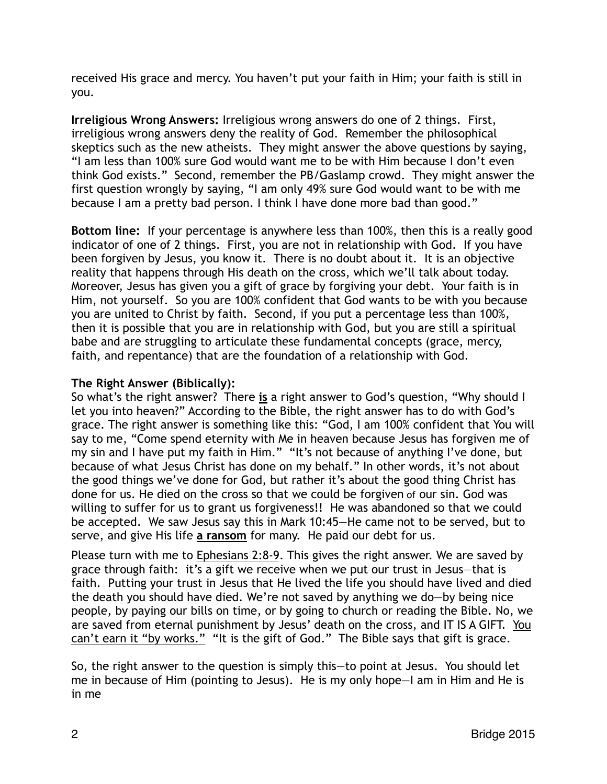received His grace and mercy. You haven't put your faith in Him; your faith is still in you.

**Irreligious Wrong Answers:** Irreligious wrong answers do one of 2 things. First, irreligious wrong answers deny the reality of God. Remember the philosophical skeptics such as the new atheists. They might answer the above questions by saying, "I am less than 100% sure God would want me to be with Him because I don't even think God exists." Second, remember the PB/Gaslamp crowd. They might answer the first question wrongly by saying, "I am only 49% sure God would want to be with me because I am a pretty bad person. I think I have done more bad than good."

**Bottom line:** If your percentage is anywhere less than 100%, then this is a really good indicator of one of 2 things. First, you are not in relationship with God. If you have been forgiven by Jesus, you know it. There is no doubt about it. It is an objective reality that happens through His death on the cross, which we'll talk about today. Moreover, Jesus has given you a gift of grace by forgiving your debt. Your faith is in Him, not yourself. So you are 100% confident that God wants to be with you because you are united to Christ by faith. Second, if you put a percentage less than 100%, then it is possible that you are in relationship with God, but you are still a spiritual babe and are struggling to articulate these fundamental concepts (grace, mercy, faith, and repentance) that are the foundation of a relationship with God.

# **The Right Answer (Biblically):**

So what's the right answer? There **is** a right answer to God's question, "Why should I let you into heaven?" According to the Bible, the right answer has to do with God's grace. The right answer is something like this: "God, I am 100% confident that You will say to me, "Come spend eternity with Me in heaven because Jesus has forgiven me of my sin and I have put my faith in Him." "It's not because of anything I've done, but because of what Jesus Christ has done on my behalf." In other words, it's not about the good things we've done for God, but rather it's about the good thing Christ has done for us. He died on the cross so that we could be forgiven of our sin. God was willing to suffer for us to grant us forgiveness!! He was abandoned so that we could be accepted. We saw Jesus say this in Mark 10:45—He came not to be served, but to serve, and give His life **a ransom** for many. He paid our debt for us.

Please turn with me to Ephesians 2:8-9. This gives the right answer. We are saved by grace through faith: it's a gift we receive when we put our trust in Jesus—that is faith. Putting your trust in Jesus that He lived the life you should have lived and died the death you should have died. We're not saved by anything we do—by being nice people, by paying our bills on time, or by going to church or reading the Bible. No, we are saved from eternal punishment by Jesus' death on the cross, and IT IS A GIFT. You can't earn it "by works." "It is the gift of God." The Bible says that gift is grace.

So, the right answer to the question is simply this—to point at Jesus. You should let me in because of Him (pointing to Jesus). He is my only hope—I am in Him and He is in me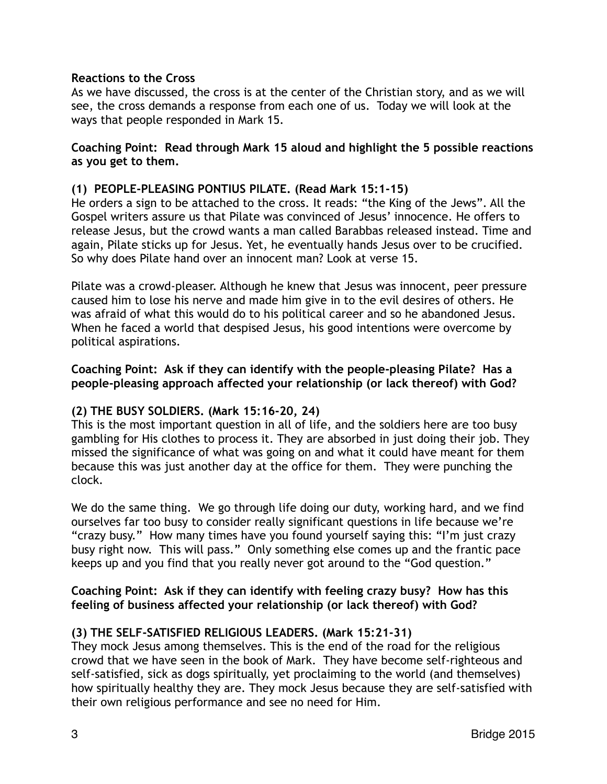#### **Reactions to the Cross**

As we have discussed, the cross is at the center of the Christian story, and as we will see, the cross demands a response from each one of us. Today we will look at the ways that people responded in Mark 15.

#### **Coaching Point: Read through Mark 15 aloud and highlight the 5 possible reactions as you get to them.**

#### **(1) PEOPLE-PLEASING PONTIUS PILATE. (Read Mark 15:1-15)**

He orders a sign to be attached to the cross. It reads: "the King of the Jews". All the Gospel writers assure us that Pilate was convinced of Jesus' innocence. He offers to release Jesus, but the crowd wants a man called Barabbas released instead. Time and again, Pilate sticks up for Jesus. Yet, he eventually hands Jesus over to be crucified. So why does Pilate hand over an innocent man? Look at verse 15.

Pilate was a crowd-pleaser. Although he knew that Jesus was innocent, peer pressure caused him to lose his nerve and made him give in to the evil desires of others. He was afraid of what this would do to his political career and so he abandoned Jesus. When he faced a world that despised Jesus, his good intentions were overcome by political aspirations.

#### **Coaching Point: Ask if they can identify with the people-pleasing Pilate? Has a people-pleasing approach affected your relationship (or lack thereof) with God?**

#### **(2) THE BUSY SOLDIERS. (Mark 15:16-20, 24)**

This is the most important question in all of life, and the soldiers here are too busy gambling for His clothes to process it. They are absorbed in just doing their job. They missed the significance of what was going on and what it could have meant for them because this was just another day at the office for them. They were punching the clock.

We do the same thing. We go through life doing our duty, working hard, and we find ourselves far too busy to consider really significant questions in life because we're "crazy busy." How many times have you found yourself saying this: "I'm just crazy busy right now. This will pass." Only something else comes up and the frantic pace keeps up and you find that you really never got around to the "God question."

#### **Coaching Point: Ask if they can identify with feeling crazy busy? How has this feeling of business affected your relationship (or lack thereof) with God?**

#### **(3) THE SELF-SATISFIED RELIGIOUS LEADERS. (Mark 15:21-31)**

They mock Jesus among themselves. This is the end of the road for the religious crowd that we have seen in the book of Mark. They have become self-righteous and self-satisfied, sick as dogs spiritually, yet proclaiming to the world (and themselves) how spiritually healthy they are. They mock Jesus because they are self-satisfied with their own religious performance and see no need for Him.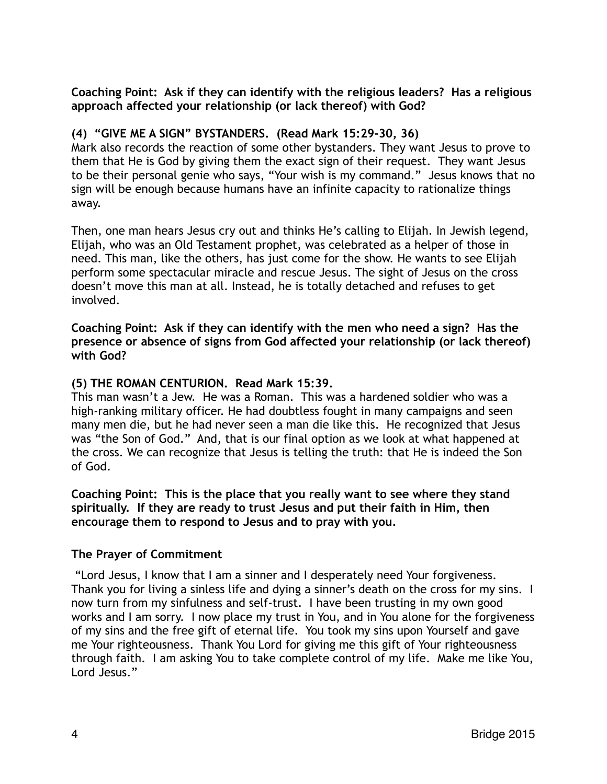#### **Coaching Point: Ask if they can identify with the religious leaders? Has a religious approach affected your relationship (or lack thereof) with God?**

# **(4) "GIVE ME A SIGN" BYSTANDERS. (Read Mark 15:29-30, 36)**

Mark also records the reaction of some other bystanders. They want Jesus to prove to them that He is God by giving them the exact sign of their request. They want Jesus to be their personal genie who says, "Your wish is my command." Jesus knows that no sign will be enough because humans have an infinite capacity to rationalize things away.

Then, one man hears Jesus cry out and thinks He's calling to Elijah. In Jewish legend, Elijah, who was an Old Testament prophet, was celebrated as a helper of those in need. This man, like the others, has just come for the show. He wants to see Elijah perform some spectacular miracle and rescue Jesus. The sight of Jesus on the cross doesn't move this man at all. Instead, he is totally detached and refuses to get involved.

**Coaching Point: Ask if they can identify with the men who need a sign? Has the presence or absence of signs from God affected your relationship (or lack thereof) with God?**

# **(5) THE ROMAN CENTURION. Read Mark 15:39.**

This man wasn't a Jew. He was a Roman. This was a hardened soldier who was a high-ranking military officer. He had doubtless fought in many campaigns and seen many men die, but he had never seen a man die like this. He recognized that Jesus was "the Son of God." And, that is our final option as we look at what happened at the cross. We can recognize that Jesus is telling the truth: that He is indeed the Son of God.

**Coaching Point: This is the place that you really want to see where they stand spiritually. If they are ready to trust Jesus and put their faith in Him, then encourage them to respond to Jesus and to pray with you.**

# **The Prayer of Commitment**

 "Lord Jesus, I know that I am a sinner and I desperately need Your forgiveness. Thank you for living a sinless life and dying a sinner's death on the cross for my sins. I now turn from my sinfulness and self-trust. I have been trusting in my own good works and I am sorry. I now place my trust in You, and in You alone for the forgiveness of my sins and the free gift of eternal life. You took my sins upon Yourself and gave me Your righteousness. Thank You Lord for giving me this gift of Your righteousness through faith. I am asking You to take complete control of my life. Make me like You, Lord Jesus."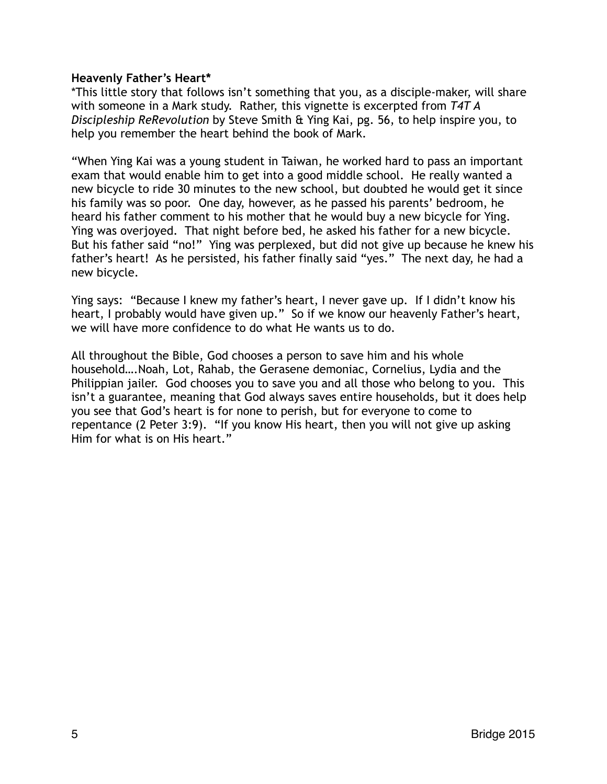#### **Heavenly Father's Heart\***

\*This little story that follows isn't something that you, as a disciple-maker, will share with someone in a Mark study. Rather, this vignette is excerpted from *T4T A Discipleship ReRevolution* by Steve Smith & Ying Kai, pg. 56, to help inspire you, to help you remember the heart behind the book of Mark.

"When Ying Kai was a young student in Taiwan, he worked hard to pass an important exam that would enable him to get into a good middle school. He really wanted a new bicycle to ride 30 minutes to the new school, but doubted he would get it since his family was so poor. One day, however, as he passed his parents' bedroom, he heard his father comment to his mother that he would buy a new bicycle for Ying. Ying was overjoyed. That night before bed, he asked his father for a new bicycle. But his father said "no!" Ying was perplexed, but did not give up because he knew his father's heart! As he persisted, his father finally said "yes." The next day, he had a new bicycle.

Ying says: "Because I knew my father's heart, I never gave up. If I didn't know his heart, I probably would have given up." So if we know our heavenly Father's heart, we will have more confidence to do what He wants us to do.

All throughout the Bible, God chooses a person to save him and his whole household….Noah, Lot, Rahab, the Gerasene demoniac, Cornelius, Lydia and the Philippian jailer. God chooses you to save you and all those who belong to you. This isn't a guarantee, meaning that God always saves entire households, but it does help you see that God's heart is for none to perish, but for everyone to come to repentance (2 Peter 3:9). "If you know His heart, then you will not give up asking Him for what is on His heart."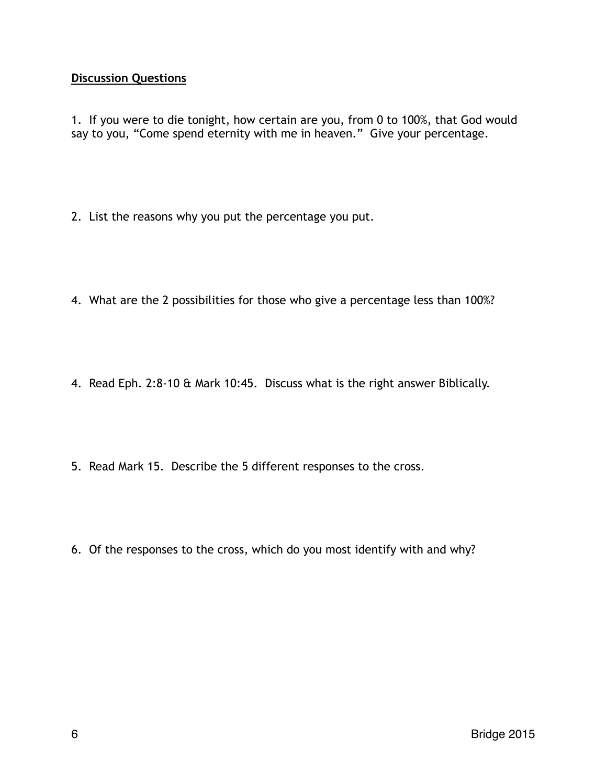# **Discussion Questions**

1. If you were to die tonight, how certain are you, from 0 to 100%, that God would say to you, "Come spend eternity with me in heaven." Give your percentage.

- 2. List the reasons why you put the percentage you put.
- 4. What are the 2 possibilities for those who give a percentage less than 100%?
- 4. Read Eph. 2:8-10 & Mark 10:45. Discuss what is the right answer Biblically.
- 5. Read Mark 15. Describe the 5 different responses to the cross.
- 6. Of the responses to the cross, which do you most identify with and why?